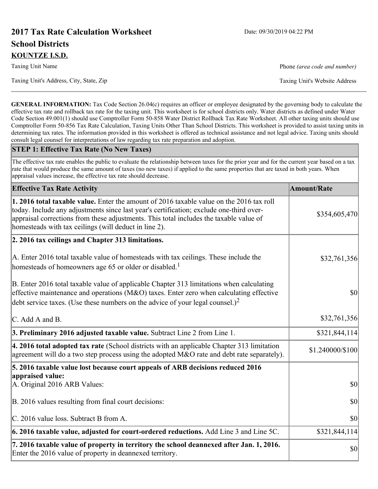# **2017 Tax Rate Calculation Worksheet** Date: 09/30/2019 04:22 PM **School Districts KOUNTZE I.S.D.**

Taxing Unit Name **Phone** *(area code and number)* Phone *(area code and number)* 

Taxing Unit's Address, City, State, Zip Taxing Unit's Website Address

**GENERAL INFORMATION:** Tax Code Section 26.04(c) requires an officer or employee designated by the governing body to calculate the effective tax rate and rollback tax rate for the taxing unit. This worksheet is for school districts only. Water districts as defined under Water Code Section 49.001(1) should use Comptroller Form 50-858 Water District Rollback Tax Rate Worksheet. All other taxing units should use Comptroller Form 50-856 Tax Rate Calculation, Taxing Units Other Than School Districts. This worksheet is provided to assist taxing units in determining tax rates. The information provided in this worksheet is offered as technical assistance and not legal advice. Taxing units should consult legal counsel for interpretations of law regarding tax rate preparation and adoption.

#### **STEP 1: Effective Tax Rate (No New Taxes)**

The effective tax rate enables the public to evaluate the relationship between taxes for the prior year and for the current year based on a tax rate that would produce the same amount of taxes (no new taxes) if applied to the same properties that are taxed in both years. When appraisal values increase, the effective tax rate should decrease.

| <b>Effective Tax Rate Activity</b>                                                                                                                                                                                                                                                                                                     | <b>Amount/Rate</b> |
|----------------------------------------------------------------------------------------------------------------------------------------------------------------------------------------------------------------------------------------------------------------------------------------------------------------------------------------|--------------------|
| 1. 2016 total taxable value. Enter the amount of 2016 taxable value on the 2016 tax roll<br>today. Include any adjustments since last year's certification; exclude one-third over-<br>appraisal corrections from these adjustments. This total includes the taxable value of<br>homesteads with tax ceilings (will deduct in line 2). | \$354,605,470      |
| 2. 2016 tax ceilings and Chapter 313 limitations.                                                                                                                                                                                                                                                                                      |                    |
| A. Enter 2016 total taxable value of homesteads with tax ceilings. These include the<br>homesteads of homeowners age 65 or older or disabled. <sup>1</sup>                                                                                                                                                                             | \$32,761,356       |
| B. Enter 2016 total taxable value of applicable Chapter 313 limitations when calculating<br>effective maintenance and operations ( $M&O$ ) taxes. Enter zero when calculating effective<br>debt service taxes. (Use these numbers on the advice of your legal counsel.) <sup>2</sup>                                                   | $ 10\rangle$       |
| C. Add A and B.                                                                                                                                                                                                                                                                                                                        | \$32,761,356       |
| 3. Preliminary 2016 adjusted taxable value. Subtract Line 2 from Line 1.                                                                                                                                                                                                                                                               | \$321,844,114      |
| 4. 2016 total adopted tax rate (School districts with an applicable Chapter 313 limitation<br>agreement will do a two step process using the adopted M&O rate and debt rate separately).                                                                                                                                               | \$1.240000/\$100   |
| 5. 2016 taxable value lost because court appeals of ARB decisions reduced 2016                                                                                                                                                                                                                                                         |                    |
| appraised value:<br>A. Original 2016 ARB Values:                                                                                                                                                                                                                                                                                       | $ 10\rangle$       |
| B. 2016 values resulting from final court decisions:                                                                                                                                                                                                                                                                                   | $ 10\rangle$       |
| C. 2016 value loss. Subtract B from A.                                                                                                                                                                                                                                                                                                 | \$0                |
| $\vert$ 6. 2016 taxable value, adjusted for court-ordered reductions. Add Line 3 and Line 5C.                                                                                                                                                                                                                                          | \$321,844,114      |
| 7. 2016 taxable value of property in territory the school deannexed after Jan. 1, 2016.<br>Enter the 2016 value of property in deannexed territory.                                                                                                                                                                                    | $ 10\rangle$       |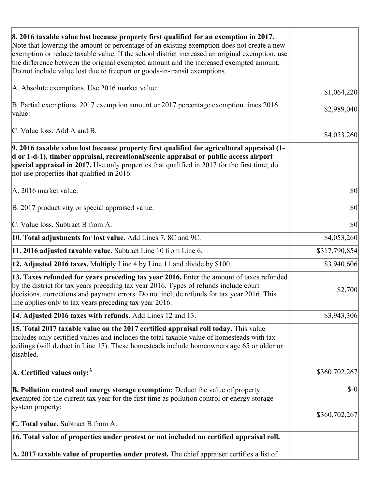| 8. 2016 taxable value lost because property first qualified for an exemption in 2017.<br>Note that lowering the amount or percentage of an existing exemption does not create a new<br>exemption or reduce taxable value. If the school district increased an original exemption, use<br>the difference between the original exempted amount and the increased exempted amount.<br>Do not include value lost due to freeport or goods-in-transit exemptions. |               |
|--------------------------------------------------------------------------------------------------------------------------------------------------------------------------------------------------------------------------------------------------------------------------------------------------------------------------------------------------------------------------------------------------------------------------------------------------------------|---------------|
| A. Absolute exemptions. Use 2016 market value:                                                                                                                                                                                                                                                                                                                                                                                                               | \$1,064,220   |
| B. Partial exemptions. 2017 exemption amount or 2017 percentage exemption times 2016<br>value:                                                                                                                                                                                                                                                                                                                                                               | \$2,989,040   |
| C. Value loss: Add A and B.                                                                                                                                                                                                                                                                                                                                                                                                                                  | \$4,053,260   |
| 9. 2016 taxable value lost because property first qualified for agricultural appraisal (1-<br>d or 1-d-1), timber appraisal, recreational/scenic appraisal or public access airport<br>special appraisal in 2017. Use only properties that qualified in 2017 for the first time; do<br>not use properties that qualified in 2016.                                                                                                                            |               |
| A. 2016 market value:                                                                                                                                                                                                                                                                                                                                                                                                                                        | \$0           |
| B. 2017 productivity or special appraised value:                                                                                                                                                                                                                                                                                                                                                                                                             | \$0           |
| C. Value loss. Subtract B from A.                                                                                                                                                                                                                                                                                                                                                                                                                            | \$0           |
| <b>10. Total adjustments for lost value.</b> Add Lines 7, 8C and 9C.                                                                                                                                                                                                                                                                                                                                                                                         | \$4,053,260   |
| 11. 2016 adjusted taxable value. Subtract Line 10 from Line 6.                                                                                                                                                                                                                                                                                                                                                                                               | \$317,790,854 |
| <b>12. Adjusted 2016 taxes.</b> Multiply Line 4 by Line 11 and divide by \$100.                                                                                                                                                                                                                                                                                                                                                                              | \$3,940,606   |
| 13. Taxes refunded for years preceding tax year 2016. Enter the amount of taxes refunded<br>by the district for tax years preceding tax year 2016. Types of refunds include court<br>decisions, corrections and payment errors. Do not include refunds for tax year 2016. This<br>line applies only to tax years preceding tax year 2016.                                                                                                                    | \$2,700       |
| 14. Adjusted 2016 taxes with refunds. Add Lines 12 and 13.                                                                                                                                                                                                                                                                                                                                                                                                   | \$3,943,306   |
| [15. Total 2017 taxable value on the 2017 certified appraisal roll today. This value<br>includes only certified values and includes the total taxable value of homesteads with tax<br>ceilings (will deduct in Line 17). These homesteads include homeowners age 65 or older or<br>disabled.                                                                                                                                                                 |               |
| A. Certified values only: <sup>3</sup>                                                                                                                                                                                                                                                                                                                                                                                                                       | \$360,702,267 |
| <b>B. Pollution control and energy storage exemption:</b> Deduct the value of property<br>exempted for the current tax year for the first time as pollution control or energy storage<br>system property:                                                                                                                                                                                                                                                    | $\delta$ -0   |
|                                                                                                                                                                                                                                                                                                                                                                                                                                                              | \$360,702,267 |
| C. Total value. Subtract B from A.                                                                                                                                                                                                                                                                                                                                                                                                                           |               |
| 16. Total value of properties under protest or not included on certified appraisal roll.                                                                                                                                                                                                                                                                                                                                                                     |               |
| A. 2017 taxable value of properties under protest. The chief appraiser certifies a list of                                                                                                                                                                                                                                                                                                                                                                   |               |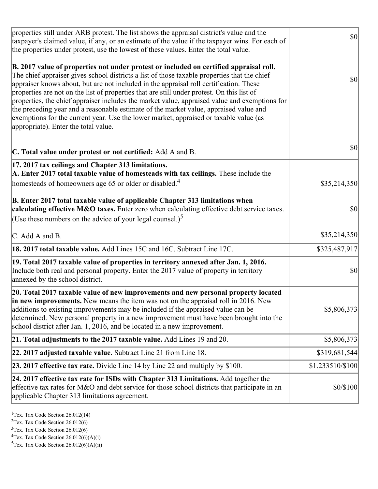| properties still under ARB protest. The list shows the appraisal district's value and the<br>taxpayer's claimed value, if any, or an estimate of the value if the taxpayer wins. For each of<br>the properties under protest, use the lowest of these values. Enter the total value.                                                                                                                                                                                                                                                                                                                                                                                                                      | $ 10\rangle$     |
|-----------------------------------------------------------------------------------------------------------------------------------------------------------------------------------------------------------------------------------------------------------------------------------------------------------------------------------------------------------------------------------------------------------------------------------------------------------------------------------------------------------------------------------------------------------------------------------------------------------------------------------------------------------------------------------------------------------|------------------|
| B. 2017 value of properties not under protest or included on certified appraisal roll.<br>The chief appraiser gives school districts a list of those taxable properties that the chief<br>appraiser knows about, but are not included in the appraisal roll certification. These<br>properties are not on the list of properties that are still under protest. On this list of<br>properties, the chief appraiser includes the market value, appraised value and exemptions for<br>the preceding year and a reasonable estimate of the market value, appraised value and<br>exemptions for the current year. Use the lower market, appraised or taxable value (as<br>appropriate). Enter the total value. | <b>\$0</b>       |
| C. Total value under protest or not certified: Add A and B.                                                                                                                                                                                                                                                                                                                                                                                                                                                                                                                                                                                                                                               | \$0              |
| 17. 2017 tax ceilings and Chapter 313 limitations.<br>A. Enter 2017 total taxable value of homesteads with tax ceilings. These include the<br>homesteads of homeowners age 65 or older or disabled. <sup>4</sup>                                                                                                                                                                                                                                                                                                                                                                                                                                                                                          | \$35,214,350     |
| B. Enter 2017 total taxable value of applicable Chapter 313 limitations when<br>calculating effective M&O taxes. Enter zero when calculating effective debt service taxes.<br>(Use these numbers on the advice of your legal counsel.) <sup>5</sup>                                                                                                                                                                                                                                                                                                                                                                                                                                                       | \$0              |
| C. Add A and B.                                                                                                                                                                                                                                                                                                                                                                                                                                                                                                                                                                                                                                                                                           | \$35,214,350     |
| 18. 2017 total taxable value. Add Lines 15C and 16C. Subtract Line 17C.                                                                                                                                                                                                                                                                                                                                                                                                                                                                                                                                                                                                                                   | \$325,487,917    |
| 19. Total 2017 taxable value of properties in territory annexed after Jan. 1, 2016.<br>Include both real and personal property. Enter the 2017 value of property in territory<br>annexed by the school district.                                                                                                                                                                                                                                                                                                                                                                                                                                                                                          | 30               |
| 20. Total 2017 taxable value of new improvements and new personal property located<br>in new improvements. New means the item was not on the appraisal roll in 2016. New<br>additions to existing improvements may be included if the appraised value can be<br>determined. New personal property in a new improvement must have been brought into the<br>school district after Jan. 1, 2016, and be located in a new improvement.                                                                                                                                                                                                                                                                        | \$5,806,373      |
| 21. Total adjustments to the 2017 taxable value. Add Lines 19 and 20.                                                                                                                                                                                                                                                                                                                                                                                                                                                                                                                                                                                                                                     | \$5,806,373      |
| $ 22.2017$ adjusted taxable value. Subtract Line 21 from Line 18.                                                                                                                                                                                                                                                                                                                                                                                                                                                                                                                                                                                                                                         | \$319,681,544    |
| <b>23. 2017 effective tax rate.</b> Divide Line 14 by Line 22 and multiply by \$100.                                                                                                                                                                                                                                                                                                                                                                                                                                                                                                                                                                                                                      | \$1.233510/\$100 |
| 24. 2017 effective tax rate for ISDs with Chapter 313 Limitations. Add together the<br>effective tax rates for M&O and debt service for those school districts that participate in an<br>applicable Chapter 313 limitations agreement.                                                                                                                                                                                                                                                                                                                                                                                                                                                                    | \$0/\$100        |

<sup>1</sup>Tex. Tax Code Section 26.012(14)

<sup>2</sup>Tex. Tax Code Section 26.012(6)

 $3$ Tex. Tax Code Section 26.012(6)

 ${}^{4}$ Tex. Tax Code Section 26.012(6)(A)(i)

 ${}^{5}$ Tex. Tax Code Section 26.012(6)(A)(ii)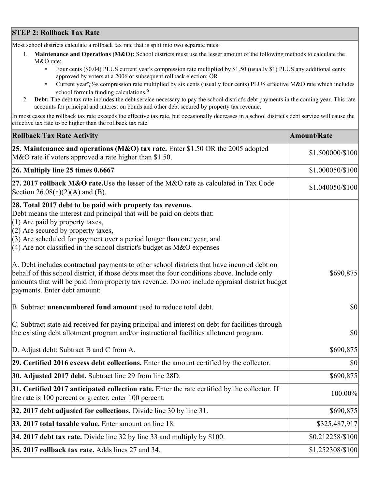## **STEP 2: Rollback Tax Rate**

Most school districts calculate a rollback tax rate that is split into two separate rates:

- 1. **Maintenance and Operations (M&O):** School districts must use the lesser amount of the following methods to calculate the M&O rate:
	- Four cents (\$0.04) PLUS current year's compression rate multiplied by \$1.50 (usually \$1) PLUS any additional cents approved by voters at a 2006 or subsequent rollback election; OR
	- Current year $i/\frac{1}{2}$ s compression rate multiplied by six cents (usually four cents) PLUS effective M&O rate which includes school formula funding calculations.<sup>6</sup>
- 2. **Debt:** The debt tax rate includes the debt service necessary to pay the school district's debt payments in the coming year. This rate accounts for principal and interest on bonds and other debt secured by property tax revenue.

In most cases the rollback tax rate exceeds the effective tax rate, but occasionally decreases in a school district's debt service will cause the effective tax rate to be higher than the rollback tax rate.

| <b>Rollback Tax Rate Activity</b>                                                                                                                                                                                                                                                                                                                                       | <b>Amount/Rate</b> |
|-------------------------------------------------------------------------------------------------------------------------------------------------------------------------------------------------------------------------------------------------------------------------------------------------------------------------------------------------------------------------|--------------------|
| 25. Maintenance and operations (M&O) tax rate. Enter \$1.50 OR the 2005 adopted<br>M&O rate if voters approved a rate higher than \$1.50.                                                                                                                                                                                                                               | \$1.500000/\$100   |
| $26.$ Multiply line 25 times $0.6667$                                                                                                                                                                                                                                                                                                                                   | \$1.000050/\$100   |
| 27. 2017 rollback M&O rate. Use the lesser of the M&O rate as calculated in Tax Code<br>Section 26.08(n)(2)(A) and (B).                                                                                                                                                                                                                                                 | \$1.040050/\$100   |
| 28. Total 2017 debt to be paid with property tax revenue.<br>Debt means the interest and principal that will be paid on debts that:<br>$(1)$ Are paid by property taxes,<br>$(2)$ Are secured by property taxes,<br>$(3)$ Are scheduled for payment over a period longer than one year, and<br>$(4)$ Are not classified in the school district's budget as M&O expenses |                    |
| A. Debt includes contractual payments to other school districts that have incurred debt on<br>behalf of this school district, if those debts meet the four conditions above. Include only<br>amounts that will be paid from property tax revenue. Do not include appraisal district budget<br>payments. Enter debt amount:                                              | \$690,875          |
| B. Subtract unencumbered fund amount used to reduce total debt.                                                                                                                                                                                                                                                                                                         | \$0                |
| C. Subtract state aid received for paying principal and interest on debt for facilities through<br>the existing debt allotment program and/or instructional facilities allotment program.                                                                                                                                                                               | \$0                |
| D. Adjust debt: Subtract B and C from A.                                                                                                                                                                                                                                                                                                                                | \$690,875          |
| 29. Certified 2016 excess debt collections. Enter the amount certified by the collector.                                                                                                                                                                                                                                                                                | $ 10\rangle$       |
| <b>30. Adjusted 2017 debt.</b> Subtract line 29 from line 28D.                                                                                                                                                                                                                                                                                                          | \$690,875          |
| 31. Certified 2017 anticipated collection rate. Enter the rate certified by the collector. If<br>the rate is 100 percent or greater, enter 100 percent.                                                                                                                                                                                                                 | 100.00%            |
| 32. 2017 debt adjusted for collections. Divide line 30 by line 31.                                                                                                                                                                                                                                                                                                      | \$690,875          |
| 33. 2017 total taxable value. Enter amount on line 18.                                                                                                                                                                                                                                                                                                                  | \$325,487,917      |
| 34. 2017 debt tax rate. Divide line 32 by line 33 and multiply by \$100.                                                                                                                                                                                                                                                                                                | \$0.212258/\$100   |
| 35. 2017 rollback tax rate. Adds lines 27 and 34.                                                                                                                                                                                                                                                                                                                       | \$1.252308/\$100   |